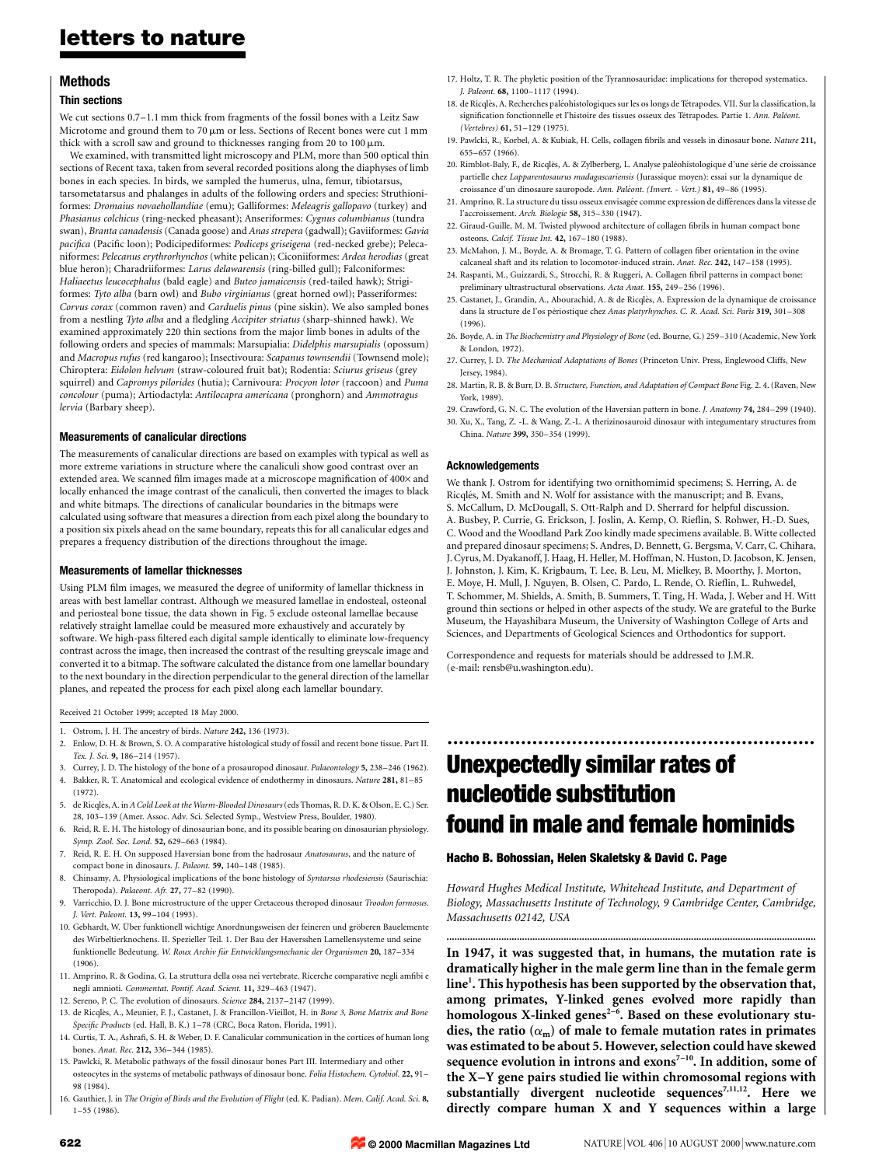# letters to nature

# Methods

# Thin sections

We cut sections  $0.7-1.1$  mm thick from fragments of the fossil bones with a Leitz Saw Microtome and ground them to 70  $\mu$ m or less. Sections of Recent bones were cut 1 mm thick with a scroll saw and ground to thicknesses ranging from 20 to  $100 \mu m$ .

We examined, with transmitted light microscopy and PLM, more than 500 optical thin sections of Recent taxa, taken from several recorded positions along the diaphyses of limb bones in each species. In birds, we sampled the humerus, ulna, femur, tibiotarsus, tarsometatarsus and phalanges in adults of the following orders and species: Struthioniformes: Dromaius novaehollandiae (emu); Galliformes: Meleagris gallopavo (turkey) and Phasianus colchicus (ring-necked pheasant); Anseriformes: Cygnus columbianus (tundra swan), Branta canadensis (Canada goose) and Anas strepera (gadwall); Gaviiformes: Gavia pacifica (Pacific loon); Podicipediformes: Podiceps griseigena (red-necked grebe); Pelecaniformes: Pelecanus erythrorhynchos (white pelican); Ciconiiformes: Ardea herodias (great blue heron); Charadriiformes: Larus delawarensis (ring-billed gull); Falconiformes: Haliaeetus leucocephalus (bald eagle) and Buteo jamaicensis (red-tailed hawk); Strigiformes: Tyto alba (barn owl) and Bubo virginianus (great horned owl); Passeriformes: Corvus corax (common raven) and Carduelis pinus (pine siskin). We also sampled bones from a nestling Tyto alba and a fledgling Accipiter striatus (sharp-shinned hawk). We examined approximately 220 thin sections from the major limb bones in adults of the following orders and species of mammals: Marsupialia: Didelphis marsupialis (opossum) and Macropus rufus (red kangaroo); Insectivoura: Scapanus townsendii (Townsend mole); Chiroptera: Eidolon helvum (straw-coloured fruit bat); Rodentia: Sciurus griseus (grey squirrel) and Capromys pilorides (hutia); Carnivoura: Procyon lotor (raccoon) and Puma concolour (puma); Artiodactyla: Antilocapra americana (pronghorn) and Ammotragus lervia (Barbary sheep).

### Measurements of canalicular directions

The measurements of canalicular directions are based on examples with typical as well as more extreme variations in structure where the canaliculi show good contrast over an extended area. We scanned film images made at a microscope magnification of  $400\times$  and locally enhanced the image contrast of the canaliculi, then converted the images to black and white bitmaps. The directions of canalicular boundaries in the bitmaps were calculated using software that measures a direction from each pixel along the boundary to a position six pixels ahead on the same boundary, repeats this for all canalicular edges and prepares a frequency distribution of the directions throughout the image.

#### Measurements of lamellar thicknesses

Using PLM film images, we measured the degree of uniformity of lamellar thickness in areas with best lamellar contrast. Although we measured lamellae in endosteal, osteonal and periosteal bone tissue, the data shown in Fig. 5 exclude osteonal lamellae because relatively straight lamellae could be measured more exhaustively and accurately by software. We high-pass filtered each digital sample identically to eliminate low-frequency contrast across the image, then increased the contrast of the resulting greyscale image and converted it to a bitmap. The software calculated the distance from one lamellar boundary to the next boundary in the direction perpendicular to the general direction of the lamellar planes, and repeated the process for each pixel along each lamellar boundary.

Received 21 October 1999; accepted 18 May 2000.

- 1. Ostrom, J. H. The ancestry of birds. Nature 242, 136 (1973).
- 2. Enlow, D. H. & Brown, S. O. A comparative histological study of fossil and recent bone tissue. Part II. Tex. I. Sci. 9, 186-214 (1957).
- 3. Currey, J. D. The histology of the bone of a prosauropod dinosaur. Palaeontology 5, 238-246 (1962). 4. Bakker, R. T. Anatomical and ecological evidence of endothermy in dinosaurs. Nature 281, 81-85
- (1972). 5. de Ricqlès, A. in A Cold Look at the Warm-Blooded Dinosaurs (eds Thomas, R. D. K. & Olson, E. C.) Ser. 28, 103-139 (Amer. Assoc. Adv. Sci. Selected Symp., Westview Press, Boulder, 1980).
- 6. Reid, R. E. H. The histology of dinosaurian bone, and its possible bearing on dinosaurian physiology. Symp. Zool. Soc. Lond. 52, 629-663 (1984).
- 7. Reid, R. E. H. On supposed Haversian bone from the hadrosaur Anatosaurus, and the nature of compact bone in dinosaurs. J. Paleont. 59, 140-148 (1985).
- 8. Chinsamy, A. Physiological implications of the bone histology of Syntarsus rhodesiensis (Saurischia: Theropoda). Palaeont. Afr. 27, 77-82 (1990).
- 9. Varricchio, D. J. Bone microstructure of the upper Cretaceous theropod dinosaur Troodon formosus. J. Vert. Paleont. 13, 99-104 (1993).
- 10. Gebhardt, W. Über funktionell wichtige Anordnungsweisen der feineren und gröberen Bauelemente des Wirbeltierknochens. II. Spezieller Teil. 1. Der Bau der Haversshen Lamellensysteme und seine funktionelle Bedeutung. W. Roux Archiv für Entwicklungsmechanic der Organismen 20, 187-334  $(1906)$
- 11. Amprino, R. & Godina, G. La struttura della ossa nei vertebrate. Ricerche comparative negli amfibi e negli amnioti. Commentat. Pontif. Acad. Scient. 11, 329-463 (1947).
- 12. Sereno, P. C. The evolution of dinosaurs. Science 284, 2137-2147 (1999).
- 13. de Ricqlès, A., Meunier, F. J., Castanet, J. & Francillon-Vieillot, H. in Bone 3, Bone Matrix and Bone Specific Products (ed. Hall, B. K.) 1-78 (CRC, Boca Raton, Florida, 1991).
- 14. Curtis, T. A., Ashrafi, S. H. & Weber, D. F. Canalicular communication in the cortices of human long bones. Anat. Rec. 212, 336-344 (1985).
- 15. Pawlcki, R. Metabolic pathways of the fossil dinosaur bones Part III. Intermediary and other osteocytes in the systems of metabolic pathways of dinosaur bone. Folia Histochem. Cytobiol. 22, 91± 98 (1984).
- 16. Gauthier, J. in The Origin of Birds and the Evolution of Flight (ed. K. Padian). Mem. Calif. Acad. Sci. 8,  $1-55$  (1986).
- 17. Holtz, T. R. The phyletic position of the Tyrannosauridae: implications for theropod systematics. J. Paleont. 68, 1100-1117 (1994).
- 18. de Ricqlès, A. Recherches paléohistologiques sur les os longs de Tétrapodes. VII. Sur la classification, la signification fonctionnelle et l'histoire des tissues osseux des Tétrapodes. Partie 1. Ann. Paléont. (Vertebres) 61, 51-129 (1975).
- 19. Pawlcki, R., Korbel, A. & Kubiak, H. Cells, collagen fibrils and vessels in dinosaur bone. Nature 211, 655±657 (1966).
- 20. Rimblot-Baly, F., de Ricqlès, A. & Zylberberg, L. Analyse paléohistologique d'une série de croissance partielle chez Lapparentosaurus madagascariensis (Jurassique moyen): essai sur la dynamique de croissance d'un dinosaure sauropode. Ann. Paléont. (Invert. - Vert.) 81, 49-86 (1995).
- 21. Amprino, R. La structure du tissu osseux envisagée comme expression de différences dans la vitesse de l'accroissement. Arch. Biologie 58, 315-330 (1947).
- 22. Giraud-Guille, M. M. Twisted plywood architecture of collagen fibrils in human compact bone osteons. Calcif. Tissue Int. 42, 167-180 (1988).
- 23. McMahon, J. M., Boyde, A. & Bromage, T. G. Pattern of collagen fiber orientation in the ovine calcaneal shaft and its relation to locomotor-induced strain. Anat. Rec. 242, 147-158 (1995).
- 24. Raspanti, M., Guizzardi, S., Strocchi, R. & Ruggeri, A. Collagen fibril patterns in compact bone: preliminary ultrastructural observations. Acta Anat. 155, 249-256 (1996).
- 25. Castanet, J., Grandin, A., Abourachid, A. & de Ricqlès, A. Expression de la dynamique de croissance dans la structure de l'os périostique chez Anas platyrhynchos. C. R. Acad. Sci. Paris 319, 301-308 (1996).
- 26. Boyde, A. in The Biochemistry and Physiology of Bone (ed. Bourne, G.) 259-310 (Academic, New York & London, 1972).
- 27. Currey, J. D. The Mechanical Adaptations of Bones (Princeton Univ. Press, Englewood Cliffs, New Jersey, 1984).
- 28. Martin, R. B. & Burr, D. B. Structure, Function, and Adaptation of Compact Bone Fig. 2. 4. (Raven, New York, 1989).
- 29. Crawford, G. N. C. The evolution of the Haversian pattern in bone. *J. Anatomy* 74, 284–299 (1940). 30. Xu, X., Tang, Z. -L. & Wang, Z.-L. A therizinosauroid dinosaur with integumentary structures from China. Nature 399, 350-354 (1999).

### Acknowledgements

We thank J. Ostrom for identifying two ornithomimid specimens; S. Herring, A. de Ricglés, M. Smith and N. Wolf for assistance with the manuscript; and B. Evans, S. McCallum, D. McDougall, S. Ott-Ralph and D. Sherrard for helpful discussion. A. Busbey, P. Currie, G. Erickson, J. Joslin, A. Kemp, O. Rieflin, S. Rohwer, H.-D. Sues, C. Wood and the Woodland Park Zoo kindly made specimens available. B. Witte collected and prepared dinosaur specimens; S. Andres, D. Bennett, G. Bergsma, V. Carr, C. Chihara, J. Cyrus, M. Dyakanoff, J. Haag, H. Heller, M. Hoffman, N. Huston, D. Jacobson, K. Jensen, J. Johnston, J. Kim, K. Krigbaum, T. Lee, B. Leu, M. Mielkey, B. Moorthy, J. Morton, E. Moye, H. Mull, J. Nguyen, B. Olsen, C. Pardo, L. Rende, O. Rieflin, L. Ruhwedel, T. Schommer, M. Shields, A. Smith, B. Summers, T. Ting, H. Wada, J. Weber and H. Witt ground thin sections or helped in other aspects of the study. We are grateful to the Burke Museum, the Hayashibara Museum, the University of Washington College of Arts and Sciences, and Departments of Geological Sciences and Orthodontics for support.

Correspondence and requests for materials should be addressed to J.M.R. (e-mail: rensb@u.washington.edu).

# Unexpectedly similar rates of nucleotide substitution found in male and female hominids

.................................................................

### Hacho B. Bohossian, Helen Skaletsky & David C. Page

Howard Hughes Medical Institute, Whitehead Institute, and Department of Biology, Massachusetts Institute of Technology, 9 Cambridge Center, Cambridge, Massachusetts 02142, USA

.............................................................................................................................................. In 1947, it was suggested that, in humans, the mutation rate is dramatically higher in the male germ line than in the female germ line<sup>1</sup>. This hypothesis has been supported by the observation that, among primates, Y-linked genes evolved more rapidly than homologous X-linked genes<sup>2-6</sup>. Based on these evolutionary studies, the ratio  $(\alpha_m)$  of male to female mutation rates in primates was estimated to be about 5. However, selection could have skewed sequence evolution in introns and  $exons^{7-10}$ . In addition, some of the X-Y gene pairs studied lie within chromosomal regions with substantially divergent nucleotide sequences<sup>7,11,12</sup>. Here we directly compare human X and Y sequences within a large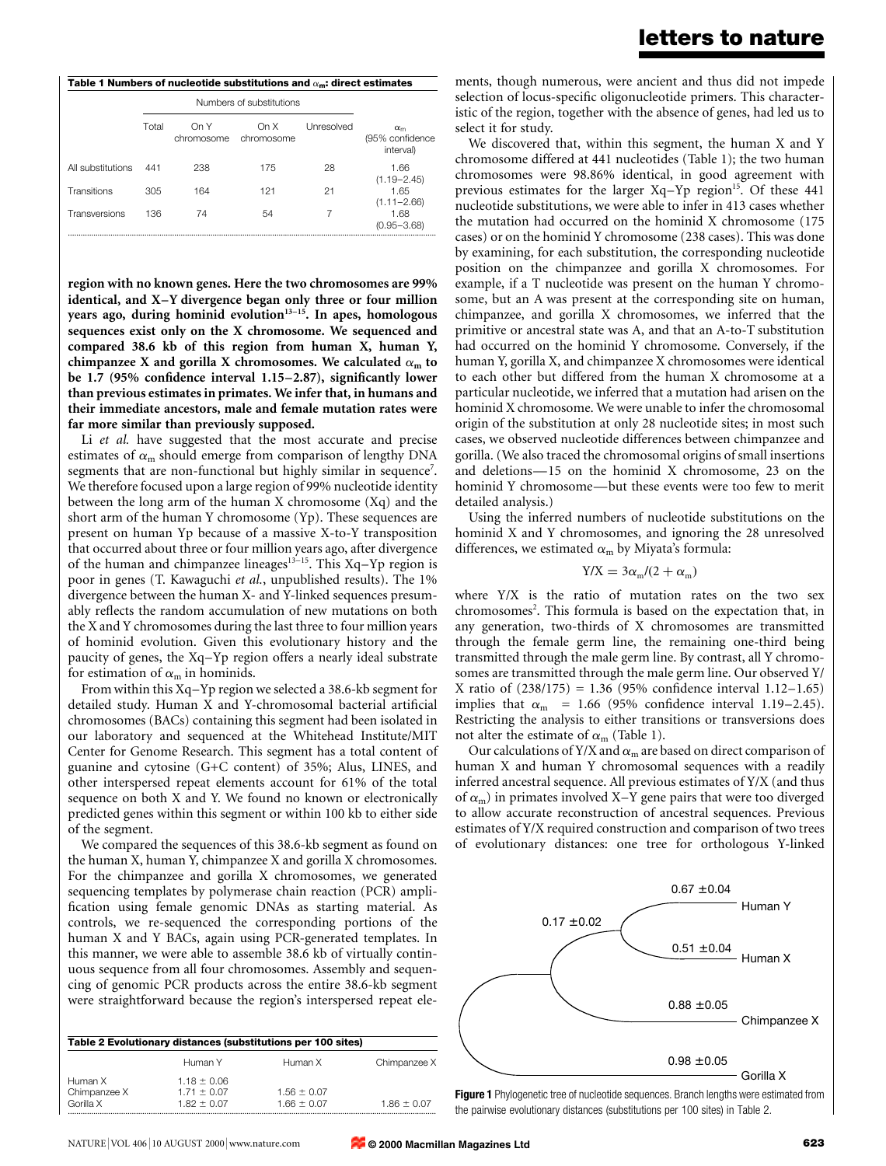| Table 1 Numbers of nucleotide substitutions and $\alpha_{\bf m}$ : direct estimates |       |                          |                    |            |                                                  |  |  |  |
|-------------------------------------------------------------------------------------|-------|--------------------------|--------------------|------------|--------------------------------------------------|--|--|--|
|                                                                                     |       | Numbers of substitutions |                    |            |                                                  |  |  |  |
|                                                                                     | Total | On Y<br>chromosome       | On X<br>chromosome | Unresolved | $\alpha_{\rm m}$<br>(95% confidence<br>interval) |  |  |  |
| All substitutions                                                                   | 441   | 238                      | 175                | 28         | 1.66<br>$(1.19 - 2.45)$                          |  |  |  |
| Transitions                                                                         | 305   | 164                      | 121                | 21         | 1.65<br>$(1.11 - 2.66)$                          |  |  |  |
| Transversions                                                                       | 136   | 74                       | 54                 |            | 1.68<br>$(0.95 - 3.68)$                          |  |  |  |

region with no known genes. Here the two chromosomes are 99% identical, and X-Y divergence began only three or four million years ago, during hominid evolution $13-15$ . In apes, homologous sequences exist only on the X chromosome. We sequenced and compared 38.6 kb of this region from human X, human Y, chimpanzee X and gorilla X chromosomes. We calculated  $\alpha_m$  to be 1.7 (95% confidence interval  $1.15-2.87$ ), significantly lower than previous estimates in primates. We infer that, in humans and their immediate ancestors, male and female mutation rates were far more similar than previously supposed.

Li et al. have suggested that the most accurate and precise estimates of  $\alpha_m$  should emerge from comparison of lengthy DNA segments that are non-functional but highly similar in sequence<sup>7</sup>. We therefore focused upon a large region of 99% nucleotide identity between the long arm of the human X chromosome (Xq) and the short arm of the human Y chromosome (Yp). These sequences are present on human Yp because of a massive X-to-Y transposition that occurred about three or four million years ago, after divergence of the human and chimpanzee lineages<sup>13-15</sup>. This Xq-Yp region is poor in genes (T. Kawaguchi et al., unpublished results). The 1% divergence between the human X- and Y-linked sequences presumably reflects the random accumulation of new mutations on both the X and Y chromosomes during the last three to four million years of hominid evolution. Given this evolutionary history and the paucity of genes, the Xq-Yp region offers a nearly ideal substrate for estimation of  $\alpha_m$  in hominids.

From within this Xq-Yp region we selected a 38.6-kb segment for detailed study. Human X and Y-chromosomal bacterial artificial chromosomes (BACs) containing this segment had been isolated in our laboratory and sequenced at the Whitehead Institute/MIT Center for Genome Research. This segment has a total content of guanine and cytosine (G+C content) of 35%; Alus, LINES, and other interspersed repeat elements account for 61% of the total sequence on both X and Y. We found no known or electronically predicted genes within this segment or within 100 kb to either side of the segment.

We compared the sequences of this 38.6-kb segment as found on the human X, human Y, chimpanzee X and gorilla X chromosomes. For the chimpanzee and gorilla X chromosomes, we generated sequencing templates by polymerase chain reaction (PCR) ampli fication using female genomic DNAs as starting material. As controls, we re-sequenced the corresponding portions of the human X and Y BACs, again using PCR-generated templates. In this manner, we were able to assemble 38.6 kb of virtually continuous sequence from all four chromosomes. Assembly and sequencing of genomic PCR products across the entire 38.6-kb segment were straightforward because the region's interspersed repeat ele-

| Table 2 Evolutionary distances (substitutions per 100 sites) |                 |                 |                 |  |  |  |
|--------------------------------------------------------------|-----------------|-----------------|-----------------|--|--|--|
|                                                              | Human Y         | Human X         | Chimpanzee X    |  |  |  |
| Human X                                                      | $1.18 \pm 0.06$ |                 |                 |  |  |  |
| Chimpanzee X                                                 | $1.71 \pm 0.07$ | $1.56 \pm 0.07$ |                 |  |  |  |
| Gorilla X                                                    | $1.82 + 0.07$   | 166 + 0.07      | $1.86 \pm 0.07$ |  |  |  |

ments, though numerous, were ancient and thus did not impede selection of locus-specific oligonucleotide primers. This characteristic of the region, together with the absence of genes, had led us to select it for study.

We discovered that, within this segment, the human X and Y chromosome differed at 441 nucleotides (Table 1); the two human chromosomes were 98.86% identical, in good agreement with previous estimates for the larger  $Xq-Yp$  region<sup>15</sup>. Of these 441 nucleotide substitutions, we were able to infer in 413 cases whether the mutation had occurred on the hominid X chromosome (175 cases) or on the hominid Y chromosome (238 cases). This was done by examining, for each substitution, the corresponding nucleotide position on the chimpanzee and gorilla X chromosomes. For example, if a T nucleotide was present on the human Y chromosome, but an A was present at the corresponding site on human, chimpanzee, and gorilla X chromosomes, we inferred that the primitive or ancestral state was A, and that an A-to-T substitution had occurred on the hominid Y chromosome. Conversely, if the human Y, gorilla X, and chimpanzee X chromosomes were identical to each other but differed from the human X chromosome at a particular nucleotide, we inferred that a mutation had arisen on the hominid X chromosome. We were unable to infer the chromosomal origin of the substitution at only 28 nucleotide sites; in most such cases, we observed nucleotide differences between chimpanzee and gorilla. (We also traced the chromosomal origins of small insertions and deletions $-15$  on the hominid X chromosome, 23 on the hominid Y chromosome—but these events were too few to merit detailed analysis.)

Using the inferred numbers of nucleotide substitutions on the hominid X and Y chromosomes, and ignoring the 28 unresolved differences, we estimated  $\alpha_m$  by Miyata's formula:

$$
Y/X = 3\alpha_m/(2 + \alpha_m)
$$

where Y/X is the ratio of mutation rates on the two sex chromosomes<sup>2</sup>. This formula is based on the expectation that, in any generation, two-thirds of X chromosomes are transmitted through the female germ line, the remaining one-third being transmitted through the male germ line. By contrast, all Y chromosomes are transmitted through the male germ line. Our observed Y/ X ratio of  $(238/175) = 1.36$  (95% confidence interval 1.12-1.65) implies that  $\alpha_{\text{m}}$  = 1.66 (95% confidence interval 1.19-2.45). Restricting the analysis to either transitions or transversions does not alter the estimate of  $\alpha_m$  (Table 1).

Our calculations of Y/X and  $\alpha_m$  are based on direct comparison of human X and human Y chromosomal sequences with a readily inferred ancestral sequence. All previous estimates of Y/X (and thus of  $\alpha$ <sub>m</sub>) in primates involved X-Y gene pairs that were too diverged to allow accurate reconstruction of ancestral sequences. Previous estimates of Y/X required construction and comparison of two trees of evolutionary distances: one tree for orthologous Y-linked



Figure 1 Phylogenetic tree of nucleotide sequences. Branch lengths were estimated from the pairwise evolutionary distances (substitutions per 100 sites) in Table 2.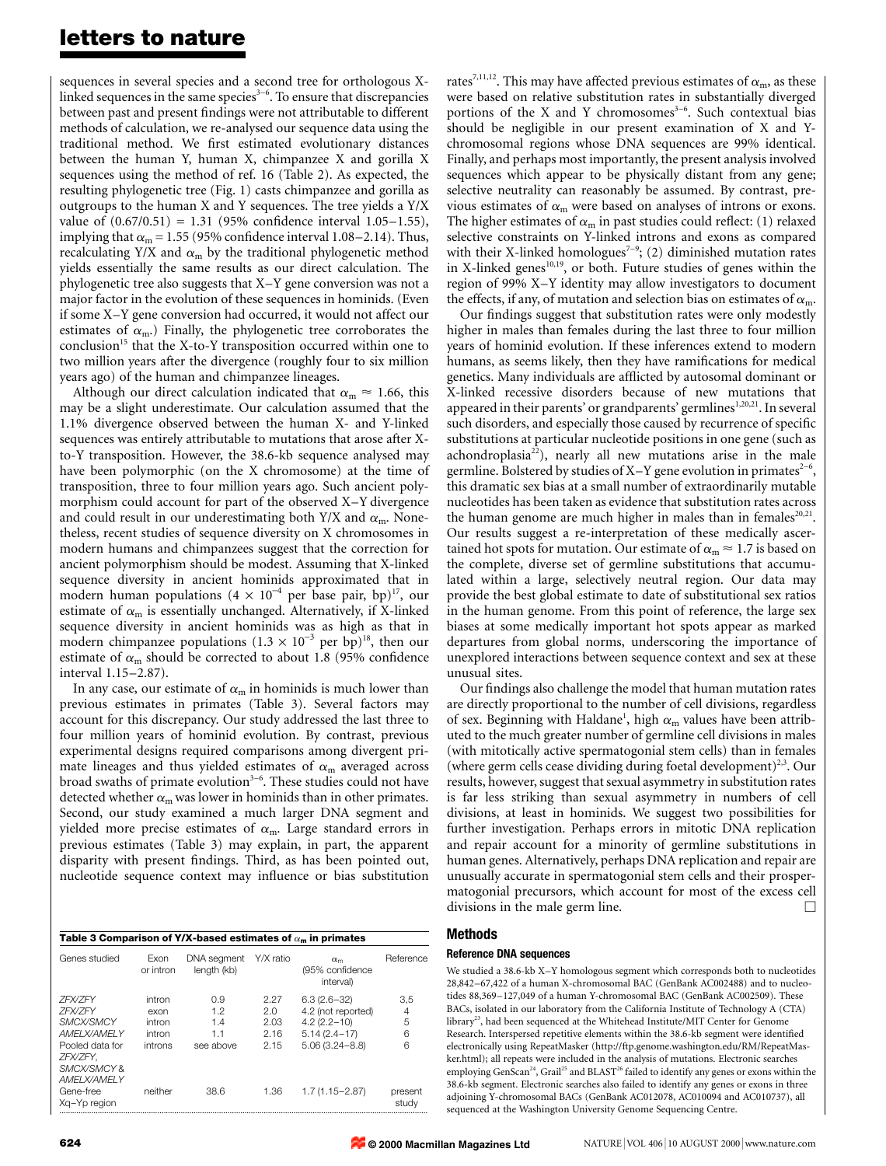# letters to nature

sequences in several species and a second tree for orthologous Xlinked sequences in the same species $3-6$ . To ensure that discrepancies between past and present findings were not attributable to different methods of calculation, we re-analysed our sequence data using the traditional method. We first estimated evolutionary distances between the human Y, human X, chimpanzee X and gorilla X sequences using the method of ref. 16 (Table 2). As expected, the resulting phylogenetic tree (Fig. 1) casts chimpanzee and gorilla as outgroups to the human X and Y sequences. The tree yields a Y/X value of  $(0.67/0.51) = 1.31$  (95% confidence interval 1.05-1.55), implying that  $\alpha_m = 1.55$  (95% confidence interval 1.08–2.14). Thus, recalculating Y/X and  $\alpha_m$  by the traditional phylogenetic method yields essentially the same results as our direct calculation. The phylogenetic tree also suggests that  $X-Y$  gene conversion was not a major factor in the evolution of these sequences in hominids. (Even if some X±Y gene conversion had occurred, it would not affect our estimates of  $\alpha_{\rm m}$ .) Finally, the phylogenetic tree corroborates the conclusion<sup>15</sup> that the X-to-Y transposition occurred within one to two million years after the divergence (roughly four to six million years ago) of the human and chimpanzee lineages.

Although our direct calculation indicated that  $\alpha_m \approx 1.66$ , this may be a slight underestimate. Our calculation assumed that the 1.1% divergence observed between the human X- and Y-linked sequences was entirely attributable to mutations that arose after Xto-Y transposition. However, the 38.6-kb sequence analysed may have been polymorphic (on the X chromosome) at the time of transposition, three to four million years ago. Such ancient polymorphism could account for part of the observed  $X-Y$  divergence and could result in our underestimating both Y/X and  $\alpha_{\rm m}$ . Nonetheless, recent studies of sequence diversity on X chromosomes in modern humans and chimpanzees suggest that the correction for ancient polymorphism should be modest. Assuming that X-linked sequence diversity in ancient hominids approximated that in modern human populations  $(4 \times 10^{-4}$  per base pair, bp)<sup>17</sup>, our estimate of  $\alpha_m$  is essentially unchanged. Alternatively, if X-linked sequence diversity in ancient hominids was as high as that in modern chimpanzee populations  $(1.3 \times 10^{-3} \text{ per bp})^{18}$ , then our estimate of  $\alpha_m$  should be corrected to about 1.8 (95% confidence interval 1.15-2.87).

In any case, our estimate of  $\alpha_m$  in hominids is much lower than previous estimates in primates (Table 3). Several factors may account for this discrepancy. Our study addressed the last three to four million years of hominid evolution. By contrast, previous experimental designs required comparisons among divergent primate lineages and thus yielded estimates of  $\alpha_m$  averaged across broad swaths of primate evolution<sup>3-6</sup>. These studies could not have detected whether  $\alpha_m$  was lower in hominids than in other primates. Second, our study examined a much larger DNA segment and yielded more precise estimates of  $\alpha_{\rm m}$ . Large standard errors in previous estimates (Table 3) may explain, in part, the apparent disparity with present findings. Third, as has been pointed out, nucleotide sequence context may influence or bias substitution

| Table 3 Comparison of Y/X-based estimates of $\alpha_{\bf m}$ in primates                                                                   |                                               |                                      |                                     |                                                                                                  |                         |  |  |  |
|---------------------------------------------------------------------------------------------------------------------------------------------|-----------------------------------------------|--------------------------------------|-------------------------------------|--------------------------------------------------------------------------------------------------|-------------------------|--|--|--|
| Genes studied                                                                                                                               | Fxon<br>or intron                             | DNA segment<br>length (kb)           | Y/X ratio                           | $\alpha_{m}$<br>(95% confidence<br>interval)                                                     | Reference               |  |  |  |
| <b>7FX/7FY</b><br><b>7FX/7FY</b><br>SMCX/SMCY<br><b>AMFI X/AMFI Y</b><br>Pooled data for<br>ZFX/ZFY.<br>SMCX/SMCY &<br><b>AMFI X/AMFI Y</b> | intron<br>exon<br>intron<br>intron<br>introns | 0.9<br>12<br>1.4<br>1.1<br>see above | 2.27<br>2.0<br>2.03<br>2.16<br>2.15 | $6.3(2.6-32)$<br>4.2 (not reported)<br>$4.2(2.2 - 10)$<br>$5.14(2.4 - 17)$<br>$5.06(3.24 - 8.8)$ | 3,5<br>4<br>5<br>6<br>6 |  |  |  |
| Gene-free<br>Xg-Yp region                                                                                                                   | neither                                       | 38.6                                 | 1.36                                | $1.7(1.15 - 2.87)$                                                                               | present<br>study        |  |  |  |

rates<sup>7,11,12</sup>. This may have affected previous estimates of  $\alpha_{\rm m}$ , as these were based on relative substitution rates in substantially diverged portions of the X and Y chromosomes $3-6$ . Such contextual bias should be negligible in our present examination of X and Ychromosomal regions whose DNA sequences are 99% identical. Finally, and perhaps most importantly, the present analysis involved sequences which appear to be physically distant from any gene; selective neutrality can reasonably be assumed. By contrast, previous estimates of  $\alpha_m$  were based on analyses of introns or exons. The higher estimates of  $\alpha_m$  in past studies could reflect: (1) relaxed selective constraints on Y-linked introns and exons as compared with their X-linked homologues<sup> $7-9$ </sup>; (2) diminished mutation rates in X-linked genes<sup>10,19</sup>, or both. Future studies of genes within the region of 99% X-Y identity may allow investigators to document the effects, if any, of mutation and selection bias on estimates of  $\alpha_m$ .

Our findings suggest that substitution rates were only modestly higher in males than females during the last three to four million years of hominid evolution. If these inferences extend to modern humans, as seems likely, then they have ramifications for medical genetics. Many individuals are afflicted by autosomal dominant or X-linked recessive disorders because of new mutations that appeared in their parents' or grandparents' germlines<sup>1,20,21</sup>. In several such disorders, and especially those caused by recurrence of specific substitutions at particular nucleotide positions in one gene (such as achondroplasia<sup>22</sup>), nearly all new mutations arise in the male germline. Bolstered by studies of X–Y gene evolution in primates<sup>2-6</sup>, this dramatic sex bias at a small number of extraordinarily mutable nucleotides has been taken as evidence that substitution rates across the human genome are much higher in males than in females $20,21$ . Our results suggest a re-interpretation of these medically ascertained hot spots for mutation. Our estimate of  $\alpha_m \approx 1.7$  is based on the complete, diverse set of germline substitutions that accumulated within a large, selectively neutral region. Our data may provide the best global estimate to date of substitutional sex ratios in the human genome. From this point of reference, the large sex biases at some medically important hot spots appear as marked departures from global norms, underscoring the importance of unexplored interactions between sequence context and sex at these unusual sites.

Our findings also challenge the model that human mutation rates are directly proportional to the number of cell divisions, regardless of sex. Beginning with Haldane<sup>1</sup>, high  $\alpha_{\rm m}$  values have been attributed to the much greater number of germline cell divisions in males (with mitotically active spermatogonial stem cells) than in females (where germ cells cease dividing during foetal development)<sup>2,3</sup>. Our results, however, suggest that sexual asymmetry in substitution rates is far less striking than sexual asymmetry in numbers of cell divisions, at least in hominids. We suggest two possibilities for further investigation. Perhaps errors in mitotic DNA replication and repair account for a minority of germline substitutions in human genes. Alternatively, perhaps DNA replication and repair are unusually accurate in spermatogonial stem cells and their prospermatogonial precursors, which account for most of the excess cell divisions in the male germ line.

# Methods

### Reference DNA sequences

We studied a 38.6-kb X-Y homologous segment which corresponds both to nucleotides 28,842-67,422 of a human X-chromosomal BAC (GenBank AC002488) and to nucleotides 88,369-127,049 of a human Y-chromosomal BAC (GenBank AC002509). These BACs, isolated in our laboratory from the California Institute of Technology A (CTA) library<sup>23</sup>, had been sequenced at the Whitehead Institute/MIT Center for Genome Research. Interspersed repetitive elements within the 38.6-kb segment were identified electronically using RepeatMasker (http://ftp.genome.washington.edu/RM/RepeatMasker.html); all repeats were included in the analysis of mutations. Electronic searches employing GenScan<sup>24</sup>, Grail<sup>25</sup> and BLAST<sup>26</sup> failed to identify any genes or exons within the 38.6-kb segment. Electronic searches also failed to identify any genes or exons in three adjoining Y-chromosomal BACs (GenBank AC012078, AC010094 and AC010737), all sequenced at the Washington University Genome Sequencing Centre.